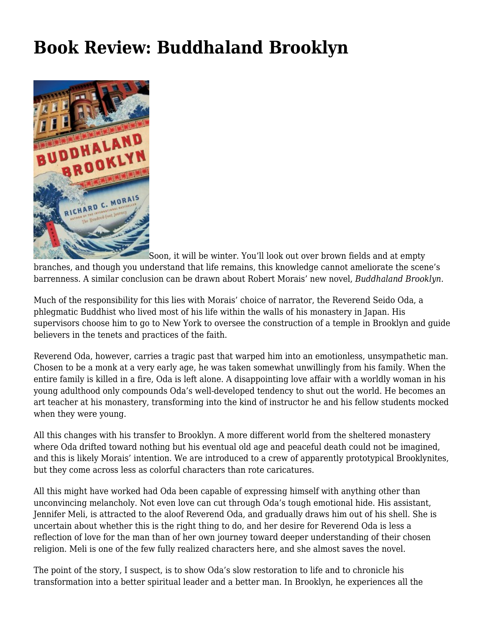## **[Book Review: Buddhaland Brooklyn](https://motifri.com/book-review-buddhaland-brooklyn/)**



Soon, it will be winter. You'll look out over brown fields and at empty branches, and though you understand that life remains, this knowledge cannot ameliorate the scene's barrenness. A similar conclusion can be drawn about Robert Morais' new novel, *Buddhaland Brooklyn.*

Much of the responsibility for this lies with Morais' choice of narrator, the Reverend Seido Oda, a phlegmatic Buddhist who lived most of his life within the walls of his monastery in Japan. His supervisors choose him to go to New York to oversee the construction of a temple in Brooklyn and guide believers in the tenets and practices of the faith.

Reverend Oda, however, carries a tragic past that warped him into an emotionless, unsympathetic man. Chosen to be a monk at a very early age, he was taken somewhat unwillingly from his family. When the entire family is killed in a fire, Oda is left alone. A disappointing love affair with a worldly woman in his young adulthood only compounds Oda's well-developed tendency to shut out the world. He becomes an art teacher at his monastery, transforming into the kind of instructor he and his fellow students mocked when they were young.

All this changes with his transfer to Brooklyn. A more different world from the sheltered monastery where Oda drifted toward nothing but his eventual old age and peaceful death could not be imagined, and this is likely Morais' intention. We are introduced to a crew of apparently prototypical Brooklynites, but they come across less as colorful characters than rote caricatures.

All this might have worked had Oda been capable of expressing himself with anything other than unconvincing melancholy. Not even love can cut through Oda's tough emotional hide. His assistant, Jennifer Meli, is attracted to the aloof Reverend Oda, and gradually draws him out of his shell. She is uncertain about whether this is the right thing to do, and her desire for Reverend Oda is less a reflection of love for the man than of her own journey toward deeper understanding of their chosen religion. Meli is one of the few fully realized characters here, and she almost saves the novel.

The point of the story, I suspect, is to show Oda's slow restoration to life and to chronicle his transformation into a better spiritual leader and a better man. In Brooklyn, he experiences all the